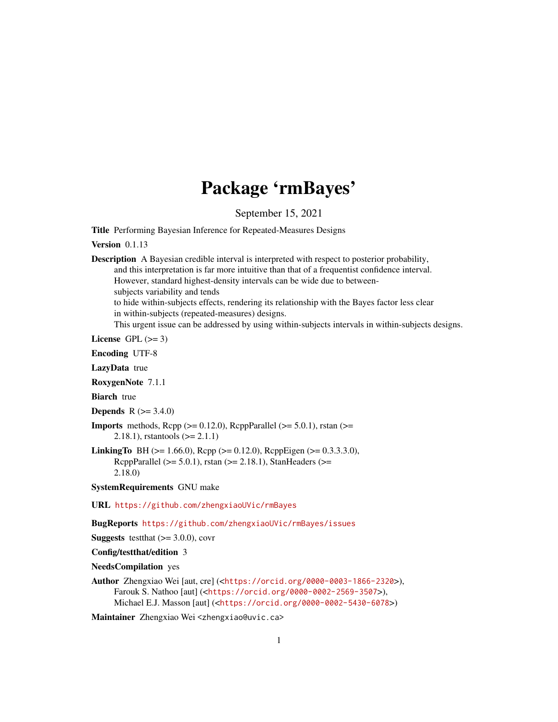# Package 'rmBayes'

September 15, 2021

<span id="page-0-0"></span>Title Performing Bayesian Inference for Repeated-Measures Designs

Version 0.1.13

Description A Bayesian credible interval is interpreted with respect to posterior probability, and this interpretation is far more intuitive than that of a frequentist confidence interval. However, standard highest-density intervals can be wide due to betweensubjects variability and tends to hide within-subjects effects, rendering its relationship with the Bayes factor less clear in within-subjects (repeated-measures) designs. This urgent issue can be addressed by using within-subjects intervals in within-subjects designs.

License GPL  $(>= 3)$ 

Encoding UTF-8

LazyData true

RoxygenNote 7.1.1

Biarch true

**Depends** R  $(>= 3.4.0)$ 

**Imports** methods,  $\text{Rcpp} (> = 0.12.0)$ ,  $\text{RcppParallel} (> = 5.0.1)$ ,  $\text{rstan}(>=$ 2.18.1), rstantools (>= 2.1.1)

LinkingTo BH (>= 1.66.0), Rcpp (>= 0.12.0), RcppEigen (>= 0.3.3.3.0), RcppParallel ( $>= 5.0.1$ ), rstan ( $>= 2.18.1$ ), StanHeaders ( $>=$ 2.18.0)

SystemRequirements GNU make

URL <https://github.com/zhengxiaoUVic/rmBayes>

BugReports <https://github.com/zhengxiaoUVic/rmBayes/issues>

**Suggests** test that  $(>= 3.0.0)$ , covr

Config/testthat/edition 3

NeedsCompilation yes

Author Zhengxiao Wei [aut, cre] (<<https://orcid.org/0000-0003-1866-2320>>), Farouk S. Nathoo [aut] (<<https://orcid.org/0000-0002-2569-3507>>), Michael E.J. Masson [aut] (<<https://orcid.org/0000-0002-5430-6078>>)

Maintainer Zhengxiao Wei <zhengxiao@uvic.ca>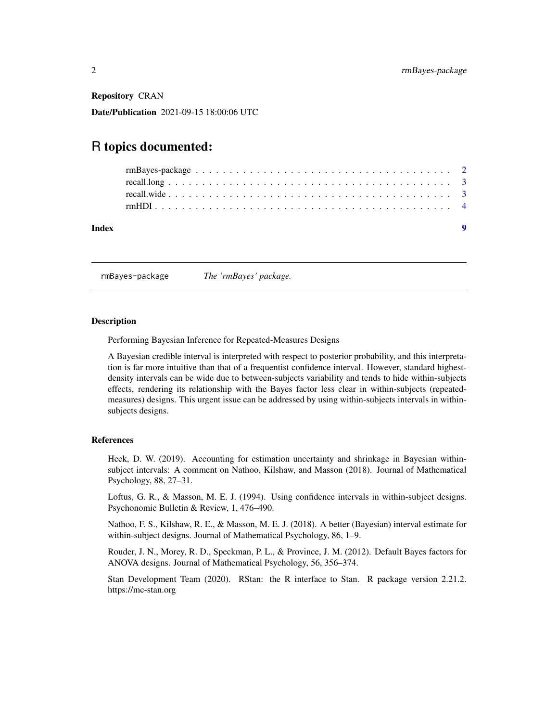<span id="page-1-0"></span>Repository CRAN

Date/Publication 2021-09-15 18:00:06 UTC

## R topics documented:

| Index | $\bullet$ |  |
|-------|-----------|--|
|       |           |  |
|       |           |  |
|       |           |  |
|       |           |  |

rmBayes-package *The 'rmBayes' package.*

#### **Description**

Performing Bayesian Inference for Repeated-Measures Designs

A Bayesian credible interval is interpreted with respect to posterior probability, and this interpretation is far more intuitive than that of a frequentist confidence interval. However, standard highestdensity intervals can be wide due to between-subjects variability and tends to hide within-subjects effects, rendering its relationship with the Bayes factor less clear in within-subjects (repeatedmeasures) designs. This urgent issue can be addressed by using within-subjects intervals in withinsubjects designs.

#### References

Heck, D. W. (2019). Accounting for estimation uncertainty and shrinkage in Bayesian withinsubject intervals: A comment on Nathoo, Kilshaw, and Masson (2018). Journal of Mathematical Psychology, 88, 27–31.

Loftus, G. R., & Masson, M. E. J. (1994). Using confidence intervals in within-subject designs. Psychonomic Bulletin & Review, 1, 476–490.

Nathoo, F. S., Kilshaw, R. E., & Masson, M. E. J. (2018). A better (Bayesian) interval estimate for within-subject designs. Journal of Mathematical Psychology, 86, 1–9.

Rouder, J. N., Morey, R. D., Speckman, P. L., & Province, J. M. (2012). Default Bayes factors for ANOVA designs. Journal of Mathematical Psychology, 56, 356–374.

Stan Development Team (2020). RStan: the R interface to Stan. R package version 2.21.2. https://mc-stan.org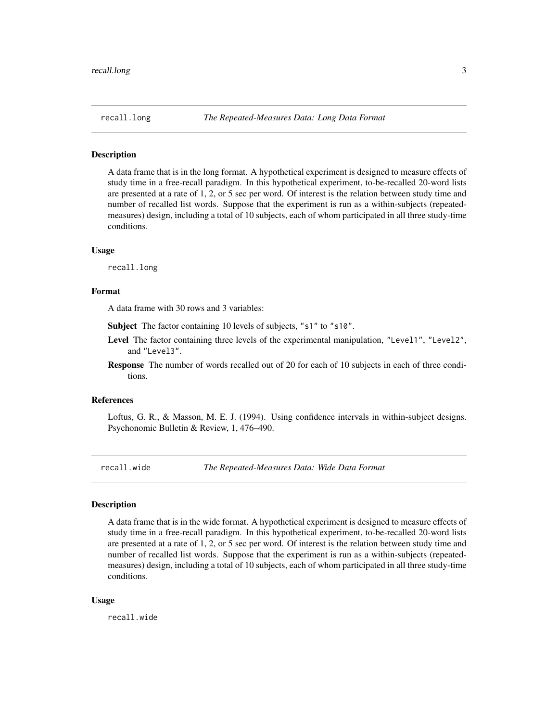<span id="page-2-0"></span>

#### Description

A data frame that is in the long format. A hypothetical experiment is designed to measure effects of study time in a free-recall paradigm. In this hypothetical experiment, to-be-recalled 20-word lists are presented at a rate of 1, 2, or 5 sec per word. Of interest is the relation between study time and number of recalled list words. Suppose that the experiment is run as a within-subjects (repeatedmeasures) design, including a total of 10 subjects, each of whom participated in all three study-time conditions.

#### Usage

recall.long

#### Format

A data frame with 30 rows and 3 variables:

Subject The factor containing 10 levels of subjects, "s1" to "s10".

- Level The factor containing three levels of the experimental manipulation, "Level1", "Level2", and "Level3".
- Response The number of words recalled out of 20 for each of 10 subjects in each of three conditions.

#### References

Loftus, G. R., & Masson, M. E. J. (1994). Using confidence intervals in within-subject designs. Psychonomic Bulletin & Review, 1, 476–490.

recall.wide *The Repeated-Measures Data: Wide Data Format*

#### Description

A data frame that is in the wide format. A hypothetical experiment is designed to measure effects of study time in a free-recall paradigm. In this hypothetical experiment, to-be-recalled 20-word lists are presented at a rate of 1, 2, or 5 sec per word. Of interest is the relation between study time and number of recalled list words. Suppose that the experiment is run as a within-subjects (repeatedmeasures) design, including a total of 10 subjects, each of whom participated in all three study-time conditions.

#### Usage

recall.wide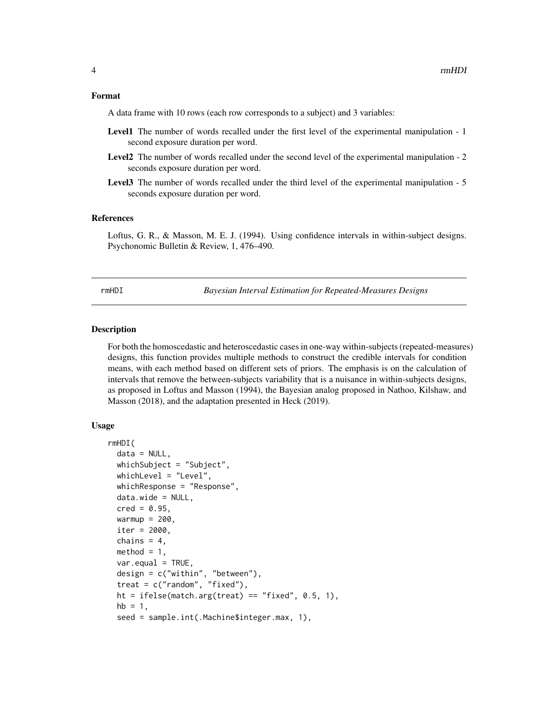#### <span id="page-3-0"></span>Format

A data frame with 10 rows (each row corresponds to a subject) and 3 variables:

- Level1 The number of words recalled under the first level of the experimental manipulation 1 second exposure duration per word.
- Level2 The number of words recalled under the second level of the experimental manipulation 2 seconds exposure duration per word.
- Level3 The number of words recalled under the third level of the experimental manipulation 5 seconds exposure duration per word.

#### References

Loftus, G. R., & Masson, M. E. J. (1994). Using confidence intervals in within-subject designs. Psychonomic Bulletin & Review, 1, 476–490.

rmHDI *Bayesian Interval Estimation for Repeated-Measures Designs*

#### Description

For both the homoscedastic and heteroscedastic cases in one-way within-subjects (repeated-measures) designs, this function provides multiple methods to construct the credible intervals for condition means, with each method based on different sets of priors. The emphasis is on the calculation of intervals that remove the between-subjects variability that is a nuisance in within-subjects designs, as proposed in Loftus and Masson (1994), the Bayesian analog proposed in Nathoo, Kilshaw, and Masson (2018), and the adaptation presented in Heck (2019).

#### Usage

```
rmHDI(
  data = NULL,whichSubject = "Subject",
  whichLevel = "Level",
  whichResponse = "Response",
  data.wide = NULL,
  \text{cred} = 0.95,warmup = 200,
  iter = 2000,
  chains = 4,
 method = 1,
  var.equals = TRUE,design = c("within", "between"),
  treat = c("random", "fixed"),
  ht = ifelse(match.arg(treat) == "fixed", 0.5, 1),
  hb = 1,seed = sample.int(.Machine$integer.max, 1),
```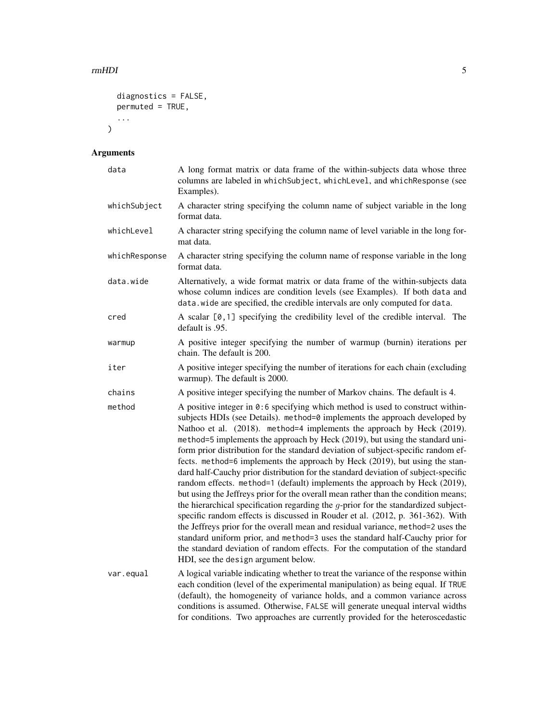#### rmHDI 5

```
diagnostics = FALSE,
  permuted = TRUE,
  ...
\mathcal{L}
```
### Arguments

| data          | A long format matrix or data frame of the within-subjects data whose three<br>columns are labeled in whichSubject, whichLevel, and whichResponse (see<br>Examples).                                                                                                                                                                                                                                                                                                                                                                                                                                                                                                                                                                                                                                                                                                                                                                                                                                                                                                                                                                                                                                                           |
|---------------|-------------------------------------------------------------------------------------------------------------------------------------------------------------------------------------------------------------------------------------------------------------------------------------------------------------------------------------------------------------------------------------------------------------------------------------------------------------------------------------------------------------------------------------------------------------------------------------------------------------------------------------------------------------------------------------------------------------------------------------------------------------------------------------------------------------------------------------------------------------------------------------------------------------------------------------------------------------------------------------------------------------------------------------------------------------------------------------------------------------------------------------------------------------------------------------------------------------------------------|
| whichSubject  | A character string specifying the column name of subject variable in the long<br>format data.                                                                                                                                                                                                                                                                                                                                                                                                                                                                                                                                                                                                                                                                                                                                                                                                                                                                                                                                                                                                                                                                                                                                 |
| whichLevel    | A character string specifying the column name of level variable in the long for-<br>mat data.                                                                                                                                                                                                                                                                                                                                                                                                                                                                                                                                                                                                                                                                                                                                                                                                                                                                                                                                                                                                                                                                                                                                 |
| whichResponse | A character string specifying the column name of response variable in the long<br>format data.                                                                                                                                                                                                                                                                                                                                                                                                                                                                                                                                                                                                                                                                                                                                                                                                                                                                                                                                                                                                                                                                                                                                |
| data.wide     | Alternatively, a wide format matrix or data frame of the within-subjects data<br>whose column indices are condition levels (see Examples). If both data and<br>data.wide are specified, the credible intervals are only computed for data.                                                                                                                                                                                                                                                                                                                                                                                                                                                                                                                                                                                                                                                                                                                                                                                                                                                                                                                                                                                    |
| cred          | A scalar [0,1] specifying the credibility level of the credible interval. The<br>default is .95.                                                                                                                                                                                                                                                                                                                                                                                                                                                                                                                                                                                                                                                                                                                                                                                                                                                                                                                                                                                                                                                                                                                              |
| warmup        | A positive integer specifying the number of warmup (burnin) iterations per<br>chain. The default is 200.                                                                                                                                                                                                                                                                                                                                                                                                                                                                                                                                                                                                                                                                                                                                                                                                                                                                                                                                                                                                                                                                                                                      |
| iter          | A positive integer specifying the number of iterations for each chain (excluding<br>warmup). The default is 2000.                                                                                                                                                                                                                                                                                                                                                                                                                                                                                                                                                                                                                                                                                                                                                                                                                                                                                                                                                                                                                                                                                                             |
| chains        | A positive integer specifying the number of Markov chains. The default is 4.                                                                                                                                                                                                                                                                                                                                                                                                                                                                                                                                                                                                                                                                                                                                                                                                                                                                                                                                                                                                                                                                                                                                                  |
| method        | A positive integer in $0:6$ specifying which method is used to construct within-<br>subjects HDIs (see Details). method=0 implements the approach developed by<br>Nathoo et al. (2018). method=4 implements the approach by Heck (2019).<br>method=5 implements the approach by Heck (2019), but using the standard uni-<br>form prior distribution for the standard deviation of subject-specific random ef-<br>fects. method=6 implements the approach by Heck (2019), but using the stan-<br>dard half-Cauchy prior distribution for the standard deviation of subject-specific<br>random effects. method=1 (default) implements the approach by Heck (2019),<br>but using the Jeffreys prior for the overall mean rather than the condition means;<br>the hierarchical specification regarding the $q$ -prior for the standardized subject-<br>specific random effects is discussed in Rouder et al. (2012, p. 361-362). With<br>the Jeffreys prior for the overall mean and residual variance, method=2 uses the<br>standard uniform prior, and method=3 uses the standard half-Cauchy prior for<br>the standard deviation of random effects. For the computation of the standard<br>HDI, see the design argument below. |
| var.equal     | A logical variable indicating whether to treat the variance of the response within<br>each condition (level of the experimental manipulation) as being equal. If TRUE<br>(default), the homogeneity of variance holds, and a common variance across<br>conditions is assumed. Otherwise, FALSE will generate unequal interval widths<br>for conditions. Two approaches are currently provided for the heteroscedastic                                                                                                                                                                                                                                                                                                                                                                                                                                                                                                                                                                                                                                                                                                                                                                                                         |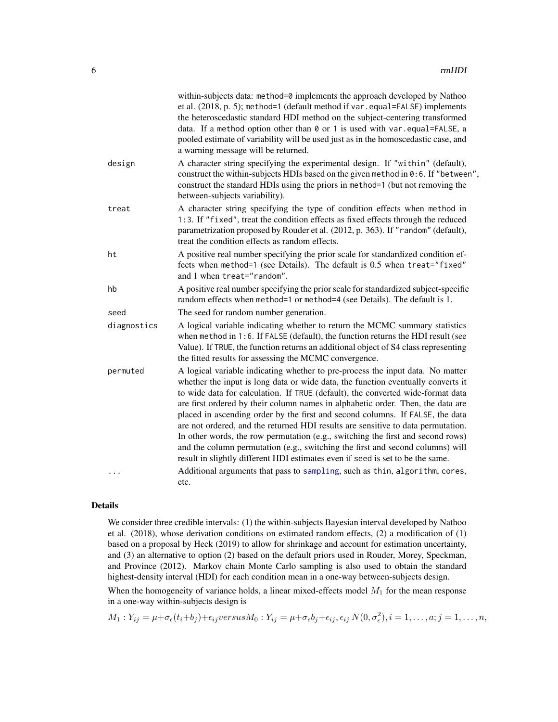<span id="page-5-0"></span>

|             | within-subjects data: method=0 implements the approach developed by Nathoo<br>et al. (2018, p. 5); method=1 (default method if var.equal=FALSE) implements<br>the heteroscedastic standard HDI method on the subject-centering transformed<br>data. If a method option other than 0 or 1 is used with var.equal=FALSE, a<br>pooled estimate of variability will be used just as in the homoscedastic case, and<br>a warning message will be returned.                                                                                                                                                                                                                                                                                                                |
|-------------|----------------------------------------------------------------------------------------------------------------------------------------------------------------------------------------------------------------------------------------------------------------------------------------------------------------------------------------------------------------------------------------------------------------------------------------------------------------------------------------------------------------------------------------------------------------------------------------------------------------------------------------------------------------------------------------------------------------------------------------------------------------------|
| design      | A character string specifying the experimental design. If "within" (default),<br>construct the within-subjects HDIs based on the given method in $0:6$ . If "between",<br>construct the standard HDIs using the priors in method=1 (but not removing the<br>between-subjects variability).                                                                                                                                                                                                                                                                                                                                                                                                                                                                           |
| treat       | A character string specifying the type of condition effects when method in<br>1:3. If "fixed", treat the condition effects as fixed effects through the reduced<br>parametrization proposed by Rouder et al. (2012, p. 363). If "random" (default),<br>treat the condition effects as random effects.                                                                                                                                                                                                                                                                                                                                                                                                                                                                |
| ht          | A positive real number specifying the prior scale for standardized condition ef-<br>fects when method=1 (see Details). The default is 0.5 when treat="fixed"<br>and 1 when treat="random".                                                                                                                                                                                                                                                                                                                                                                                                                                                                                                                                                                           |
| hb          | A positive real number specifying the prior scale for standardized subject-specific<br>random effects when method=1 or method=4 (see Details). The default is 1.                                                                                                                                                                                                                                                                                                                                                                                                                                                                                                                                                                                                     |
| seed        | The seed for random number generation.                                                                                                                                                                                                                                                                                                                                                                                                                                                                                                                                                                                                                                                                                                                               |
| diagnostics | A logical variable indicating whether to return the MCMC summary statistics<br>when method in 1:6. If FALSE (default), the function returns the HDI result (see<br>Value). If TRUE, the function returns an additional object of S4 class representing<br>the fitted results for assessing the MCMC convergence.                                                                                                                                                                                                                                                                                                                                                                                                                                                     |
| permuted    | A logical variable indicating whether to pre-process the input data. No matter<br>whether the input is long data or wide data, the function eventually converts it<br>to wide data for calculation. If TRUE (default), the converted wide-format data<br>are first ordered by their column names in alphabetic order. Then, the data are<br>placed in ascending order by the first and second columns. If FALSE, the data<br>are not ordered, and the returned HDI results are sensitive to data permutation.<br>In other words, the row permutation (e.g., switching the first and second rows)<br>and the column permutation (e.g., switching the first and second columns) will<br>result in slightly different HDI estimates even if seed is set to be the same. |
| .           | Additional arguments that pass to sampling, such as thin, algorithm, cores,<br>etc.                                                                                                                                                                                                                                                                                                                                                                                                                                                                                                                                                                                                                                                                                  |

#### Details

We consider three credible intervals: (1) the within-subjects Bayesian interval developed by Nathoo et al. (2018), whose derivation conditions on estimated random effects, (2) a modification of (1) based on a proposal by Heck (2019) to allow for shrinkage and account for estimation uncertainty, and (3) an alternative to option (2) based on the default priors used in Rouder, Morey, Speckman, and Province (2012). Markov chain Monte Carlo sampling is also used to obtain the standard highest-density interval (HDI) for each condition mean in a one-way between-subjects design.

When the homogeneity of variance holds, a linear mixed-effects model  $M_1$  for the mean response in a one-way within-subjects design is

$$
M_1: Y_{ij} = \mu + \sigma_{\epsilon}(t_i + b_j) + \epsilon_{ij} versus M_0: Y_{ij} = \mu + \sigma_{\epsilon} b_j + \epsilon_{ij}, \epsilon_{ij} N(0, \sigma_{\epsilon}^2), i = 1, \dots, a; j = 1, \dots, n,
$$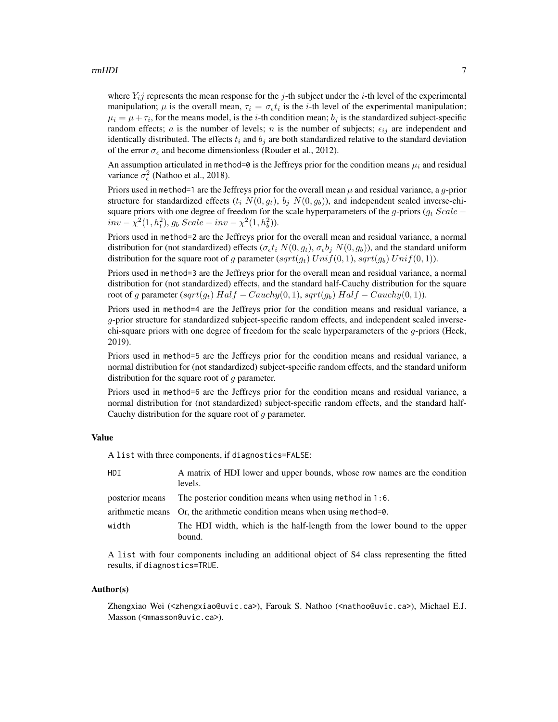#### rmHDI 7

where  $Y_i$  represents the mean response for the j-th subject under the i-th level of the experimental manipulation;  $\mu$  is the overall mean,  $\tau_i = \sigma_{\epsilon} t_i$  is the *i*-th level of the experimental manipulation;  $\mu_i = \mu + \tau_i$ , for the means model, is the *i*-th condition mean;  $b_j$  is the standardized subject-specific random effects; a is the number of levels; n is the number of subjects;  $\epsilon_{ij}$  are independent and identically distributed. The effects  $t_i$  and  $b_j$  are both standardized relative to the standard deviation of the error  $\sigma_{\epsilon}$  and become dimensionless (Rouder et al., 2012).

An assumption articulated in method=0 is the Jeffreys prior for the condition means  $\mu_i$  and residual variance  $\sigma_{\epsilon}^2$  (Nathoo et al., 2018).

Priors used in method=1 are the Jeffreys prior for the overall mean  $\mu$  and residual variance, a g-prior structure for standardized effects  $(t_i N(0, q_t), b_i N(0, q_b))$ , and independent scaled inverse-chisquare priors with one degree of freedom for the scale hyperparameters of the g-priors ( $g_t$  Scale –  $inv - \chi^2(1, h_t^2), g_b \; Scale - inv - \chi^2(1, h_b^2).$ 

Priors used in method=2 are the Jeffreys prior for the overall mean and residual variance, a normal distribution for (not standardized) effects ( $\sigma_{\epsilon}t_i N(0, g_t)$ ,  $\sigma_{\epsilon}b_i N(0, g_b)$ ), and the standard uniform distribution for the square root of g parameter  $(sqrt(g_t) Unif(0, 1), sqrt(g_b) Unif(0, 1)).$ 

Priors used in method=3 are the Jeffreys prior for the overall mean and residual variance, a normal distribution for (not standardized) effects, and the standard half-Cauchy distribution for the square root of g parameter (sqrt(g<sub>t</sub>) Half – Cauchy(0, 1), sqrt(g<sub>b</sub>) Half – Cauchy(0, 1)).

Priors used in method=4 are the Jeffreys prior for the condition means and residual variance, a g-prior structure for standardized subject-specific random effects, and independent scaled inversechi-square priors with one degree of freedom for the scale hyperparameters of the g-priors (Heck, 2019).

Priors used in method=5 are the Jeffreys prior for the condition means and residual variance, a normal distribution for (not standardized) subject-specific random effects, and the standard uniform distribution for the square root of  $q$  parameter.

Priors used in method=6 are the Jeffreys prior for the condition means and residual variance, a normal distribution for (not standardized) subject-specific random effects, and the standard half-Cauchy distribution for the square root of  $g$  parameter.

#### Value

A list with three components, if diagnostics=FALSE:

| HDI.            | A matrix of HDI lower and upper bounds, whose row names are the condition<br>levels. |
|-----------------|--------------------------------------------------------------------------------------|
| posterior means | The posterior condition means when using method in 1:6.                              |
|                 | arithmetic means Or, the arithmetic condition means when using method=0.             |
| width           | The HDI width, which is the half-length from the lower bound to the upper            |
|                 | bound.                                                                               |

A list with four components including an additional object of S4 class representing the fitted results, if diagnostics=TRUE.

#### Author(s)

Zhengxiao Wei (<zhengxiao@uvic.ca>), Farouk S. Nathoo (<nathoo@uvic.ca>), Michael E.J. Masson (<mmasson@uvic.ca>).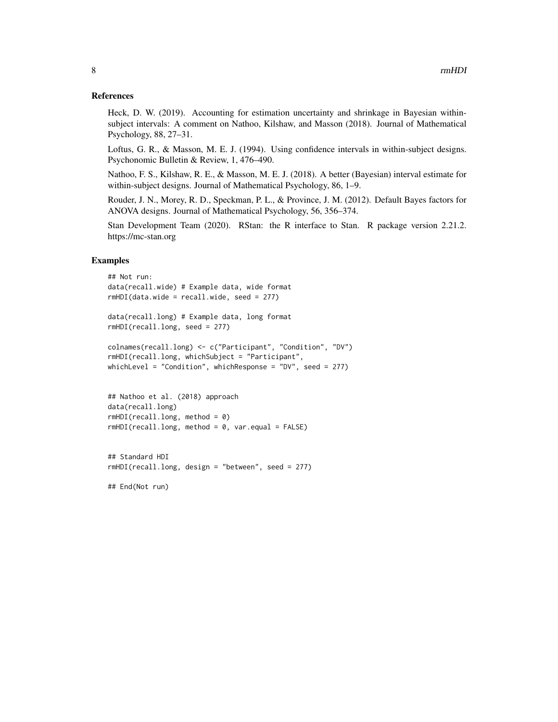#### References

Heck, D. W. (2019). Accounting for estimation uncertainty and shrinkage in Bayesian withinsubject intervals: A comment on Nathoo, Kilshaw, and Masson (2018). Journal of Mathematical Psychology, 88, 27–31.

Loftus, G. R., & Masson, M. E. J. (1994). Using confidence intervals in within-subject designs. Psychonomic Bulletin & Review, 1, 476–490.

Nathoo, F. S., Kilshaw, R. E., & Masson, M. E. J. (2018). A better (Bayesian) interval estimate for within-subject designs. Journal of Mathematical Psychology, 86, 1–9.

Rouder, J. N., Morey, R. D., Speckman, P. L., & Province, J. M. (2012). Default Bayes factors for ANOVA designs. Journal of Mathematical Psychology, 56, 356–374.

Stan Development Team (2020). RStan: the R interface to Stan. R package version 2.21.2. https://mc-stan.org

#### Examples

```
## Not run:
data(recall.wide) # Example data, wide format
rmHDI(data.wide = recall.wide, seed = 277)
data(recall.long) # Example data, long format
rmHDI(recall.long, seed = 277)
colnames(recall.long) <- c("Participant", "Condition", "DV")
rmHDI(recall.long, whichSubject = "Participant",
whichLevel = "Condition", whichResponse = "DV", seed = 277)
## Nathoo et al. (2018) approach
data(recall.long)
rmHDI(recall.long, method = 0)
rmHDI(recall.long, method = 0, var.equals = FALSE)
```

```
## Standard HDI
rmHDI(recall.long, design = "between", seed = 277)
```
## End(Not run)